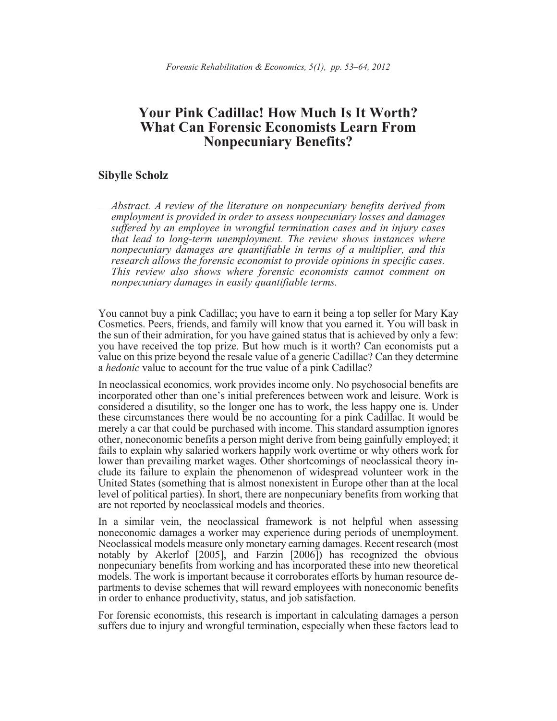# **Your Pink Cadillac! How Much Is It Worth? What Can Forensic Economists Learn From Nonpecuniary Benefits?**

## **Sibylle Scholz**

Abstract. A review of the literature on nonpecuniary benefits derived from *employment is provided in order to assess nonpecuniary losses and damages suffered by an employee in wrongful termination cases and in injury cases that lead to long-term unemployment. The review shows instances where nonpecuniary damages are quantifiable in terms of a multiplier, and this research allows the forensic economist to provide opinions in specific cases. This review also shows where forensic economists cannot comment on nonpecuniary damages in easily quantifiable terms.*

You cannot buy a pink Cadillac; you have to earn it being a top seller for Mary Kay Cosmetics. Peers, friends, and family will know that you earned it. You will bask in the sun of their admiration, for you have gained status that is achieved by only a few: you have received the top prize. But how much is it worth? Can economists put a value on this prize beyond the resale value of a generic Cadillac? Can they determine a *hedonic* value to account for the true value of a pink Cadillac?

In neoclassical economics, work provides income only. No psychosocial benefits are incorporated other than one's initial preferences between work and leisure. Work is considered a disutility, so the longer one has to work, the less happy one is. Under these circumstances there would be no accounting for a pink Cadillac. It would be merely a car that could be purchased with income. This standard assumption ignores other, noneconomic benefits a person might derive from being gainfully employed; it fails to explain why salaried workers happily work overtime or why others work for lower than prevailing market wages. Other shortcomings of neoclassical theory include its failure to explain the phenomenon of widespread volunteer work in the United States (something that is almost nonexistent in Europe other than at the local level of political parties). In short, there are nonpecuniary benefits from working that are not reported by neoclassical models and theories.

In a similar vein, the neoclassical framework is not helpful when assessing noneconomic damages a worker may experience during periods of unemployment. Neoclassical models measure only monetary earning damages. Recent research (most notably by Akerlof [2005], and Farzin [2006]) has recognized the obvious nonpecuniary benefits from working and has incorporated these into new theoretical models. The work is important because it corroborates efforts by human resource departments to devise schemes that will reward employees with noneconomic benefits in order to enhance productivity, status, and job satisfaction.

For forensic economists, this research is important in calculating damages a person suffers due to injury and wrongful termination, especially when these factors lead to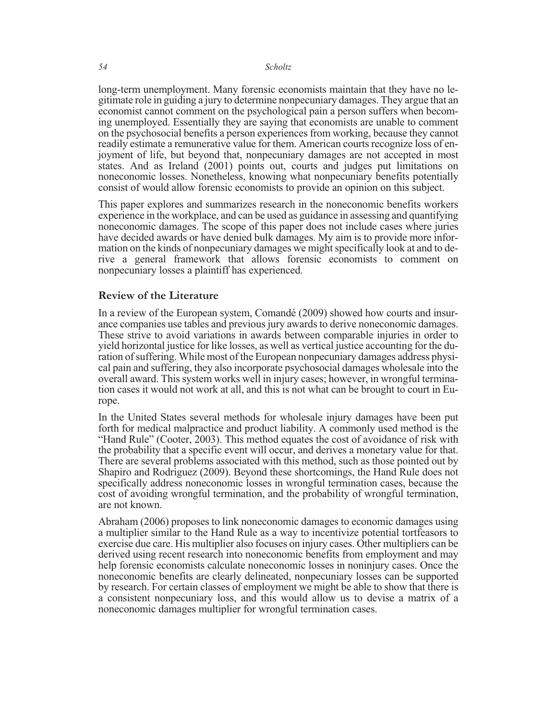long-term unemployment. Many forensic economists maintain that they have no legitimate role in guiding a jury to determine nonpecuniary damages. They argue that an economist cannot comment on the psychological pain a person suffers when becoming unemployed. Essentially they are saying that economists are unable to comment on the psychosocial benefits a person experiences from working, because they cannot readily estimate a remunerative value for them. American courts recognize loss of en- joyment of life, but beyond that, nonpecuniary damages are not accepted in most states. And as Ireland (2001) points out, courts and judges put limitations on noneconomic losses. Nonetheless, knowing what nonpecuniary benefits potentially consist of would allow forensic economists to provide an opinion on this subject.

This paper explores and summarizes research in the noneconomic benefits workers experience in the workplace, and can be used as guidance in assessing and quantifying noneconomic damages. The scope of this paper does not include cases where juries have decided awards or have denied bulk damages. My aim is to provide more information on the kinds of nonpecuniary damages we might specifically look at and to derive a general framework that allows forensic economists to nonpecuniary losses a plaintiff has experienced.

## **Review of the Literature**

In a review of the European system, Comandé (2009) showed how courts and insurance companies use tables and previous jury awards to derive noneconomic damages. These strive to avoid variations in awards between comparable injuries in order to yield horizontal justice for like losses, as well as vertical justice accounting for the duration of suffering. While most of the European nonpecuniary damages address physical pain and suffering, they also incorporate psychosocial damages wholesale into the overall award. This system works well in injury cases; however, in wrongful termination cases it would not work at all, and this is not what can be brought to court in Europe.

In the United States several methods for wholesale injury damages have been put forth for medical malpractice and product liability. A commonly used method is the "Hand Rule" (Cooter, 2003). This method equates the cost of avoidance of risk with the probability that a specific event will occur, and derives a monetary value for that. There are several problems associated with this method, such as those pointed out by Shapiro and Rodriguez (2009). Beyond these shortcomings, the Hand Rule does not specifically address noneconomic losses in wrongful termination cases, because the cost of avoiding wrongful termination, and the probability of wrongful termination, are not known.

Abraham (2006) proposes to link noneconomic damages to economic damages using a multiplier similar to the Hand Rule as a way to incentivize potential tortfeasors to exercise due care. His multiplier also focuses on injury cases. Other multipliers can be derived using recent research into noneconomic benefits from employment and may help forensic economists calculate noneconomic losses in noninjury cases. Once the noneconomic benefits are clearly delineated, nonpecuniary losses can be supported by research. For certain classes of employment we might be able to show that there is a consistent nonpecuniary loss, and this would allow us to devise a matrix of a noneconomic damages multiplier for wrongful termination cases.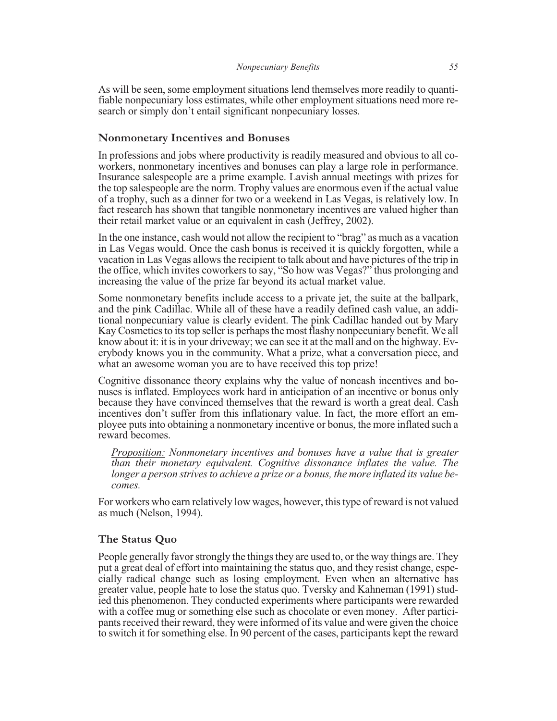As will be seen, some employment situations lend themselves more readily to quanti-<br>fiable nonpecuniary loss estimates, while other employment situations need more re-<br>search or simply don't entail significant nonpecuniary

### **Nonmonetary Incentives and Bonuses**

In professions and jobs where productivity is readily measured and obvious to all co- workers, nonmonetary incentives and bonuses can play a large role in performance. Insurance salespeople are a prime example. Lavish annual meetings with prizes for the top salespeople are the norm. Trophy values are enormous even if the actual value of a trophy, such as a dinner for two or a weekend in Las Vegas, is relatively low. In fact research has shown that tangible nonmonetary incentives are valued higher than their retail market value or an equivalent in cash (Jeffrey, 2002).

In the one instance, cash would not allow the recipient to "brag" as much as a vacation in Las Vegas would. Once the cash bonus is received it is quickly forgotten, while a vacation in Las Vegas allows the recipient to talk about and have pictures of the trip in the office, which invites coworkers to say, "So how was Vegas?" thus prolonging and increasing the value of the prize far beyond its actual market value.

Some nonmonetary benefits include access to a private jet, the suite at the ballpark, and the pink Cadillac. While all of these have a readily defined cash value, an additional nonpecuniary value is clearly evident. The pink Cadillac handed out by Mary Kay Cosmetics to its top seller is perhaps the most flashy nonpecuniary benefit. We all know about it: it is in your driveway; we can see it at the mall and on the highway. Everybody knows you in the community. What a prize, what a conversation piece, and what an awesome woman you are to have received this top prize!

Cognitive dissonance theory explains why the value of noncash incentives and bonuses is inflated. Employees work hard in anticipation of an incentive or bonus only because they have convinced themselves that the reward is worth a great deal. Cash incentives don't suffer from this inflationary value. In fact, the more effort an employee puts into obtaining a nonmonetary incentive or bonus, the more inflated such a reward becomes.

*Proposition: Nonmonetary incentives and bonuses have a value that is greater than their monetary equivalent. Cognitive dissonance inflates the value. The longer a person strives to achieve a prize or a bonus, the more inflated its value becomes.*

For workers who earn relatively low wages, however, this type of reward is not valued as much (Nelson, 1994).

#### **The Status Quo**

People generally favor strongly the things they are used to, or the way things are. They put a great deal of effort into maintaining the status quo, and they resist change, especially radical change such as losing employment. Even when an alternative has greater value, people hate to lose the status quo. Tversky and Kahneman (1991) studied this phenomenon. They conducted experiments where participants were rewarded with a coffee mug or something else such as chocolate or even money. After participants received their reward, they were informed of its value and were given the choice to switch it for something else. In 90 percent of the cases, participants kept the reward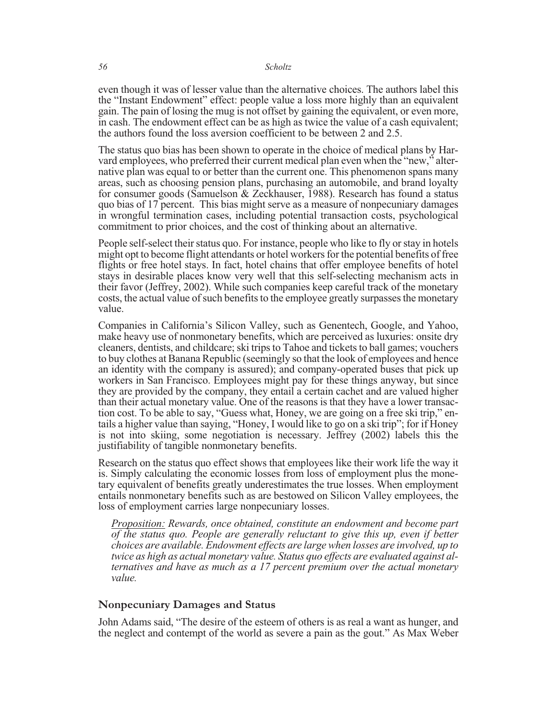even though it was of lesser value than the alternative choices. The authors label this the "Instant Endowment" effect: people value a loss more highly than an equivalent gain. The pain of losing the mug is not offset by gaining the equivalent, or even more, in cash. The endowment effect can be as high as twice the value of a cash equivalent; the authors found the loss aversion coefficient to be between 2 and 2.5.

The status quo bias has been shown to operate in the choice of medical plans by Harvard employees, who preferred their current medical plan even when the "new," alternative plan was equal to or better than the current one. areas, such as choosing pension plans, purchasing an automobile, and brand loyalty for consumer goods (Samuelson & Zeckhauser, 1988). Research has found a status quo bias of 17 percent. This bias might serve as a measure of nonpecuniary damages in wrongful termination cases, including potential transaction costs, psychological commitment to prior choices, and the cost of thinking about an alternative.

People self-select their status quo. For instance, people who like to fly or stay in hotels might opt to become flight attendants or hotel workers for the potential benefits of free flights or free hotel stays. In fact, hotel chains that offer employee benefits of hotel stays in desirable places know very well that this self-selecting mechanism acts in their favor (Jeffrey, 2002). While such companies keep careful track of the monetary costs, the actual value of such benefits to the employee greatly surpasses the monetary value.

Companies in California's Silicon Valley, such as Genentech, Google, and Yahoo, make heavy use of nonmonetary benefits, which are perceived as luxuries: onsite dry cleaners, dentists, and childcare; ski trips to Tahoe and tickets to ball games; vouchers to buy clothes at Banana Republic (seemingly so that the look of employees and hence an identity with the company is assured); and company-operated buses that pick up workers in San Francisco. Employees might pay for these things anyway, but since they are provided by the company, they entail a certain cachet and are valued higher than their actual monetary value. One of the reasons is that they have a lower transaction cost. To be able to say, "Guess what, Honey, we are going on a free ski trip," entails a higher value than saying, "Honey, I would like to go on a ski trip"; for if Honey is not into skiing, some negotiation is necessary. Jeffrey (2002) labels this the justifiability of tangible nonmonetary benefits.

Research on the status quo effect shows that employees like their work life the way it is. Simply calculating the economic losses from loss of employment plus the monetary equivalent of benefits greatly underestimates the true losses. When employment entails nonmonetary benefits such as are bestowed on Silicon Valley employees, the loss of employment carries large nonpecuniary losses.

*Proposition: Rewards, once obtained, constitute an endowment and become part of the status quo. People are generally reluctant to give this up, even if better choices are available. Endowment effects are large when losses are involved, up to twice as high as actual monetary value. Status quo effects are evaluated against alternatives and have as much as a 17 percent premium over the actual monetary value.*

### **Nonpecuniary Damages and Status**

John Adams said, "The desire of the esteem of others is as real a want as hunger, and the neglect and contempt of the world as severe a pain as the gout." As Max Weber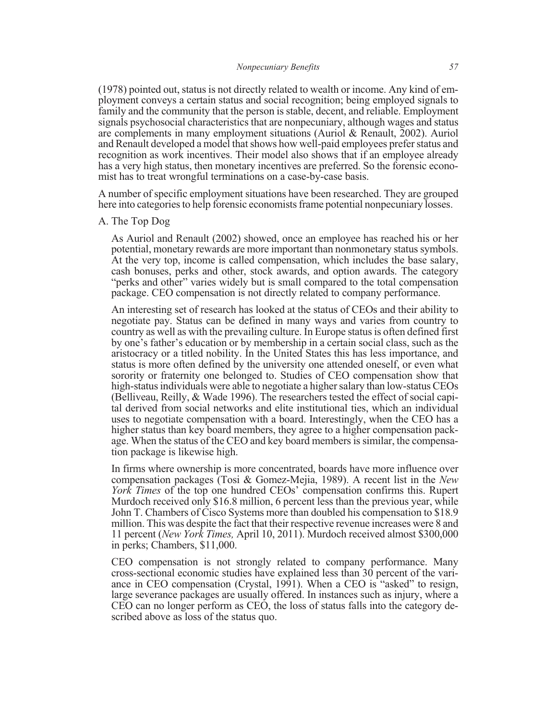(1978) pointed out, status is not directly related to wealth or income. Any kind of em- ployment conveys a certain status and social recognition; being employed signals to family and the community that the person is stable, decent, and reliable. Employment signals psychosocial characteristics that are nonpecuniary, although wages and status are complements in many employment situations (Auriol & Renault, 2002). Auriol and Renault developed a model that shows how well-paid employees prefer status and recognition as work incentives. Their model also shows that if an employee already has a very high status, then monetary incentives are preferred. So the forensic econo- mist has to treat wrongful terminations on a case-by-case basis.

A number of specific employment situations have been researched. They are grouped here into categories to help forensic economists frame potential nonpecuniary losses.

A. The Top Dog

As Auriol and Renault (2002) showed, once an employee has reached his or her potential, monetary rewards are more important than nonmonetary status symbols. At the very top, income is called compensation, which includes the base salary, cash bonuses, perks and other, stock awards, and option awards. The category "perks and other" varies widely but is small compared to the total compensation package. CEO compensation is not directly related to company performance.

An interesting set of research has looked at the status of CEOs and their ability to negotiate pay. Status can be defined in many ways and varies from country to country as well as with the prevailing culture. In Europe status is often defined first by one's father's education or by membership in a certain social class, such as the aristocracy or a titled nobility. In the United States this has less importance, and status is more often defined by the university one attended oneself, or even what sorority or fraternity one belonged to. Studies of CEO compensation show that high-status individuals were able to negotiate a higher salary than low-status CEOs (Belliveau, Reilly, & Wade 1996). The researchers tested the effect of social capital derived from social networks and elite institutional ties, which an individual uses to negotiate compensation with a board. Interestingly, when the CEO has a higher status than key board members, they agree to a higher compensation package. When the status of the CEO and key board members is similar, the compensation package is likewise high.

In firms where ownership is more concentrated, boards have more influence over compensation packages (Tosi & Gomez-Mejia, 1989). A recent list in the *New York Times* of the top one hundred CEOs' compensation confirms this. Rupert Murdoch received only \$16.8 million, 6 percent less than the previous year, while John T. Chambers of Cisco Systems more than doubled his compensation to \$18.9 million. This was despite the fact that their respective revenue increases were 8 and 11 percent (*New York Times,* April 10, 2011). Murdoch received almost \$300,000 in perks; Chambers, \$11,000.

CEO compensation is not strongly related to company performance. Many cross-sectional economic studies have explained less than 30 percent of the variance in CEO compensation (Crystal, 1991). When a CEO is "asked" to resign, large severance packages are usually offered. In instances such as injury, where a CEO can no longer perform as CEO, the loss of status falls into the category described above as loss of the status quo.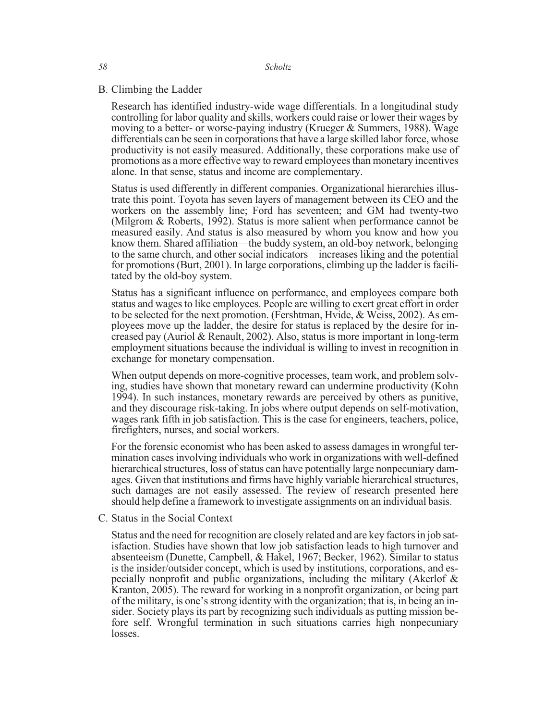### B. Climbing the Ladder

Research has identified industry-wide wage differentials. In a longitudinal study controlling for labor quality and skills, workers could raise or lower their wages by moving to a better- or worse-paying industry (Krueger & Summers, 1988). Wage differentials can be seen in corporations that have a large skilled labor force, whose productivity is not easily measured. Additionally, these corporations make use of promotions as a more effective way to reward employees than monetary incentives alone. In that sense, status and income are complementary.

Status is used differently in different companies. Organizational hierarchies illus- trate this point. Toyota has seven layers of management between its CEO and the workers on the assembly line; Ford has seventeen; and GM had twenty-two (Milgrom & Roberts, 1992). Status is more salient when performance cannot be measured easily. And status is also measured by whom you know and how you know them. Shared affiliation—the buddy system, an old-boy network, belonging to the same church, and other social indicators—increases liking and the potential for promotions (Burt, 2001). In large corporations, climbing up the ladder is facili- tated by the old-boy system.

Status has a significant influence on performance, and employees compare both status and wages to like employees. People are willing to exert great effort in order to be selected for the next promotion. (Fershtman, Hvide, & Weiss, 2002). As employees move up the ladder, the desire for status is replaced by the desire for increased pay (Auriol & Renault, 2002). Also, status is more important in long-term employment situations because the individual is willing to invest in recognition in exchange for monetary compensation.

When output depends on more-cognitive processes, team work, and problem solving, studies have shown that monetary reward can undermine productivity (Kohn 1994). In such instances, monetary rewards are perceived by others as punitive, and they discourage risk-taking. In jobs where output depends on self-motivation, wages rank fifth in job satisfaction. This is the case for engineers, teachers, police, firefighters, nurses, and social workers.

For the forensic economist who has been asked to assess damages in wrongful termination cases involving individuals who work in organizations with well-defined hierarchical structures, loss of status can have potentially large nonpecuniary damages. Given that institutions and firms have highly variable hierarchical structures, such damages are not easily assessed. The review of research presented here should help define a framework to investigate assignments on an individual basis.

C. Status in the Social Context

Status and the need for recognition are closely related and are key factors in job satisfaction. Studies have shown that low job satisfaction leads to high turnover and absenteeism (Dunette, Campbell, & Hakel, 1967; Becker, 1962). Similar to status is the insider/outsider concept, which is used by institutions, corporations, and especially nonprofit and public organizations, including the military (Akerlof & Kranton, 2005). The reward for working in a nonprofit organization, or being part of the military, is one's strong identity with the organization; that is, in being an insider. Society plays its part by recognizing such individuals as putting mission before self. Wrongful termination in such situations carries high nonpecuniary losses.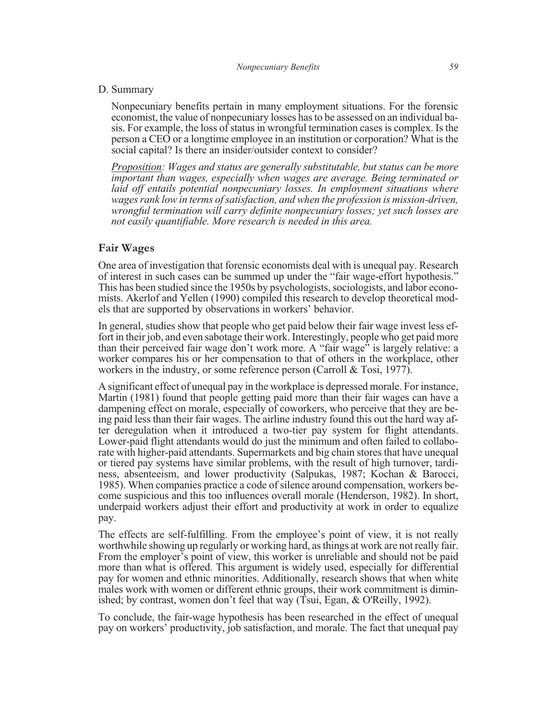#### D. Summary

Nonpecuniary benefits pertain in many employment situations. For the forensic economist, the value of nonpecuniary losses has to be assessed on an individual basis. For example, the loss of status in wrongful termination cases is complex. Is the person a CEO or a longtime employee in an institution or corporation? What is the social capital? Is there an insider/outsider context to consider?

*Proposition: Wages and status are generally substitutable, but status can be more important than wages, especially when wages are average. Being terminated or laid off entails potential nonpecuniary losses. In employment situations where wages rank low in terms of satisfaction, and when the profession is mission-driven, wrongful termination will carry definite nonpecuniary losses; yet such losses are not easily quantifiable. More research is needed in this area.*

## **Fair Wages**

One area of investigation that forensic economists deal with is unequal pay. Research of interest in such cases can be summed up under the "fair wage-effort hypothesis." This has been studied since the 1950s by psychologists, sociologists, and labor economists. Akerlof and Yellen (1990) compiled this research to develop theoretical models that are supported by observations in workers' behavior.

In general, studies show that people who get paid below their fair wage invest less effort in their job, and even sabotage their work. Interestingly, people who get paid more than their perceived fair wage don't work more. A "fair wage" is largely relative: a worker compares his or her compensation to that of others in the workplace, other workers in the industry, or some reference person (Carroll & Tosi, 1977).

A significant effect of unequal pay in the workplace is depressed morale. For instance, Martin (1981) found that people getting paid more than their fair wages can have a dampening effect on morale, especially of coworkers, who perceive that they are being paid less than their fair wages. The airline industry found this out the hard way after deregulation when it introduced a two-tier pay system for flight attendants. Lower-paid flight attendants would do just the minimum and often failed to collaborate with higher-paid attendants. Supermarkets and big chain stores that have unequal or tiered pay systems have similar problems, with the result of high turnover, tardiness, absenteeism, and lower productivity (Salpukas, 1987; Kochan & Barocci, 1985). When companies practice a code of silence around compensation, workers become suspicious and this too influences overall morale (Henderson, 1982). In short, underpaid workers adjust their effort and productivity at work in order to equalize pay.

The effects are self-fulfilling. From the employee's point of view, it is not really worthwhile showing up regularly or working hard, as things at work are not really fair. From the employer's point of view, this worker is unreliable and should not be paid more than what is offered. This argument is widely used, especially for differential pay for women and ethnic minorities. Additionally, research shows that when white males work with women or different ethnic groups, their work commitment is diminished; by contrast, women don't feel that way (Tsui, Egan, & O'Reilly, 1992).

To conclude, the fair-wage hypothesis has been researched in the effect of unequal pay on workers' productivity, job satisfaction, and morale. The fact that unequal pay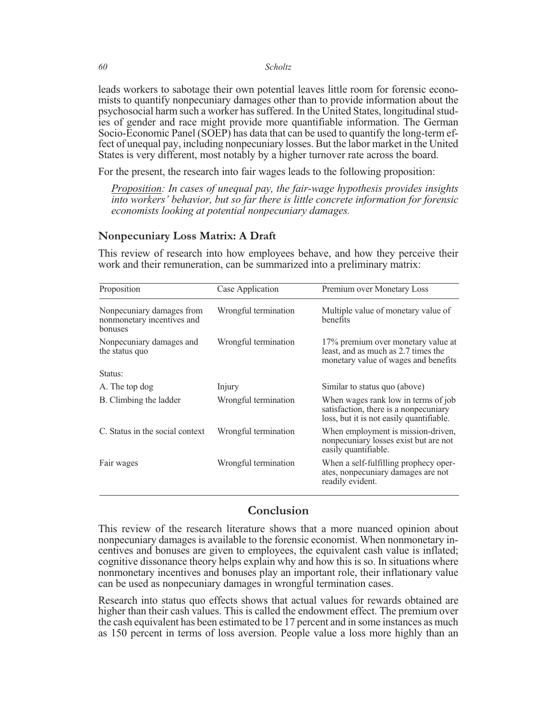leads workers to sabotage their own potential leaves little room for forensic econo-<br>mists to quantify nonpecuniary damages other than to provide information about the psychosocial harm such a worker has suffered. In the United States, longitudinal stud- ies of gender and race might provide more quantifiable information. The German Socio-Economic Panel (SOEP) has data that can be used to quantify the long-term ef- fect of unequal pay, including nonpecuniary losses. But the labor market in the United States is very different, most notably by a higher turnover rate across the board.

For the present, the research into fair wages leads to the following proposition:

*Proposition: In cases of unequal pay, the fair-wage hypothesis provides insights into workers' behavior, but so far there is little concrete information for forensic economists looking at potential nonpecuniary damages.*

## **Nonpecuniary Loss Matrix: A Draft**

This review of research into how employees behave, and how they perceive their work and their remuneration, can be summarized into a preliminary matrix:

| Proposition                                                        | Case Application     | Premium over Monetary Loss                                                                                               |
|--------------------------------------------------------------------|----------------------|--------------------------------------------------------------------------------------------------------------------------|
| Nonpecuniary damages from<br>nonmonetary incentives and<br>bonuses | Wrongful termination | Multiple value of monetary value of<br>benefits                                                                          |
| Nonpecuniary damages and<br>the status quo                         | Wrongful termination | 17% premium over monetary value at<br>least, and as much as 2.7 times the<br>monetary value of wages and benefits        |
| Status:                                                            |                      |                                                                                                                          |
| A. The top dog                                                     | Injury               | Similar to status quo (above)                                                                                            |
| B. Climbing the ladder                                             | Wrongful termination | When wages rank low in terms of job<br>satisfaction, there is a nonpecuniary<br>loss, but it is not easily quantifiable. |
| C. Status in the social context                                    | Wrongful termination | When employment is mission-driven,<br>nonpecuniary losses exist but are not<br>easily quantifiable.                      |
| Fair wages                                                         | Wrongful termination | When a self-fulfilling prophecy oper-<br>ates, nonpecuniary damages are not<br>readily evident.                          |

# **Conclusion**

This review of the research literature shows that a more nuanced opinion about nonpecuniary damages is available to the forensic economist. When nonmonetary incentives and bonuses are given to employees, the equivalent cash value is inflated; cognitive dissonance theory helps explain why and how this is so. In situations where nonmonetary incentives and bonuses play an important role, their inflationary value can be used as nonpecuniary damages in wrongful termination cases.

Research into status quo effects shows that actual values for rewards obtained are higher than their cash values. This is called the endowment effect. The premium over the cash equivalent has been estimated to be 17 percent and in some instances as much as 150 percent in terms of loss aversion. People value a loss more highly than an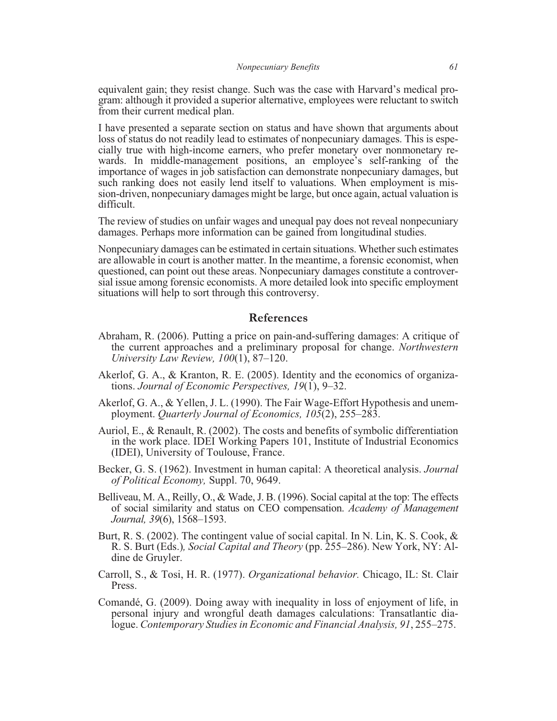equivalent gain; they resist change. Such was the case with Harvard's medical program: although it provided a superior alternative, employees were reluctant to switch from their current medical plan.

I have presented a separate section on status and have shown that arguments about loss of status do not readily lead to estimates of nonpecuniary damages. This is especially true with high-income earners, who prefer monetary over nonmonetary rewards. In middle-management positions, an employee's self-ra importance of wages in job satisfaction can demonstrate nonpecuniary damages, but such ranking does not easily lend itself to valuations. When employment is mis-<br>sion-driven, nonpecuniary damages might be large, but once again, actual valuation is difficult.

The review of studies on unfair wages and unequal pay does not reveal nonpecuniary damages. Perhaps more information can be gained from longitudinal studies.

Nonpecuniary damages can be estimated in certain situations. Whether such estimates are allowable in court is another matter. In the meantime, a forensic economist, when questioned, can point out these areas. Nonpecuniary damages constitute a controver-<br>sial issue among forensic economists. A more detailed look into specific employment situations will help to sort through this controversy.

## **References**

- Abraham, R. (2006). Putting a price on pain-and-suffering damages: A critique of the current approaches and a preliminary proposal for change. *Northwestern University Law Review, 100*(1), 87–120.
- Akerlof, G. A., & Kranton, R. E. (2005). Identity and the economics of organizations. *Journal of Economic Perspectives, 19*(1), 9–32.
- Akerlof, G. A., & Yellen, J. L. (1990). The Fair Wage-Effort Hypothesis and unemployment. *Quarterly Journal of Economics, 105*(2), 255–283.
- Auriol, E., & Renault, R. (2002). The costs and benefits of symbolic differentiation in the work place. IDEI Working Papers 101, Institute of Industrial Economics (IDEI), University of Toulouse, France.
- Becker, G. S. (1962). Investment in human capital: A theoretical analysis. *Journal of Political Economy,* Suppl. 70, 9649.
- Belliveau, M. A., Reilly, O., & Wade, J. B. (1996). Social capital at the top: The effects of social similarity and status on CEO compensation. *Academy of Management Journal, 39*(6), 1568–1593.
- Burt, R. S. (2002). The contingent value of social capital. In N. Lin, K. S. Cook, & R. S. Burt (Eds.)*, Social Capital and Theory* (pp. 255–286). New York, NY: Aldine de Gruyler.
- Carroll, S., & Tosi, H. R. (1977). *Organizational behavior.* Chicago, IL: St. Clair Press.
- Comandé, G. (2009). Doing away with inequality in loss of enjoyment of life, in personal injury and wrongful death damages calculations: Transatlantic dialogue. *Contemporary Studies in Economic and Financial Analysis, 91*, 255–275.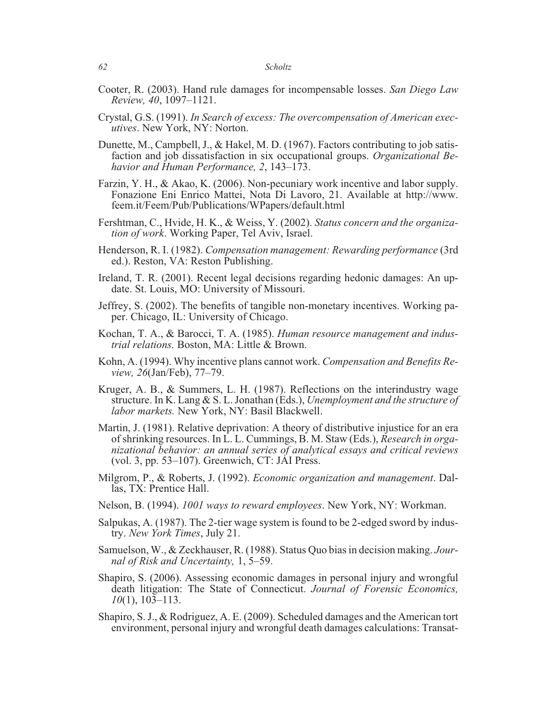- Cooter, R. (2003). Hand rule damages for incompensable losses. *San Diego Law Review, 40*, 1097–1121.
- Crystal, G.S. (1991). *In Search of excess: The overcompensation of American exec- utives*. New York, NY: Norton.
- Dunette, M., Campbell, J., & Hakel, M. D. (1967). Factors contributing to job satis- faction and job dissatisfaction in six occupational groups. *Organizational Be- havior and Human Performance, 2*, 143–173.
- Farzin, Y. H., & Akao, K. (2006). Non-pecuniary work incentive and labor supply. Fonazione Eni Enrico Mattei, Nota Di Lavoro, 21. Available at http://www. feem.it/Feem/Pub/Publications/WPapers/default.html
- Fershtman, C., Hvide, H. K., & Weiss, Y. (2002). *Status concern and the organiza- tion of work*. Working Paper, Tel Aviv, Israel.
- Henderson, R. I. (1982). *Compensation management: Rewarding performance* (3rd ed.). Reston, VA: Reston Publishing.
- Ireland, T. R. (2001). Recent legal decisions regarding hedonic damages: An up- date. St. Louis, MO: University of Missouri.
- Jeffrey, S. (2002). The benefits of tangible non-monetary incentives. Working paper. Chicago, IL: University of Chicago.
- Kochan, T. A., & Barocci, T. A. (1985). *Human resource management and industrial relations.* Boston, MA: Little & Brown.
- Kohn, A. (1994). Why incentive plans cannot work. *Compensation and Benefits Review, 26*(Jan/Feb), 77–79.
- Kruger, A. B., & Summers, L. H. (1987). Reflections on the interindustry wage structure. In K. Lang & S. L. Jonathan (Eds.), *Unemployment and the structure of labor markets.* New York, NY: Basil Blackwell.
- Martin, J. (1981). Relative deprivation: A theory of distributive injustice for an era of shrinking resources. In L. L. Cummings, B. M. Staw (Eds.), *Research in organizational behavior: an annual series of analytical essays and critical reviews* (vol. 3, pp. 53–107). Greenwich, CT: JAI Press.
- Milgrom, P., & Roberts, J. (1992). *Economic organization and management*. Dallas, TX: Prentice Hall.
- Nelson, B. (1994). *1001 ways to reward employees*. New York, NY: Workman.
- Salpukas, A. (1987). The 2-tier wage system is found to be 2-edged sword by industry. *New York Times*, July 21.
- Samuelson, W., & Zeckhauser, R. (1988). Status Quo bias in decision making. *Journal of Risk and Uncertainty,* 1, 5–59.
- Shapiro, S. (2006). Assessing economic damages in personal injury and wrongful death litigation: The State of Connecticut. *Journal of Forensic Economics, 10*(1), 103–113.
- Shapiro, S. J., & Rodriguez, A. E. (2009). Scheduled damages and the American tort environment, personal injury and wrongful death damages calculations: Transat-